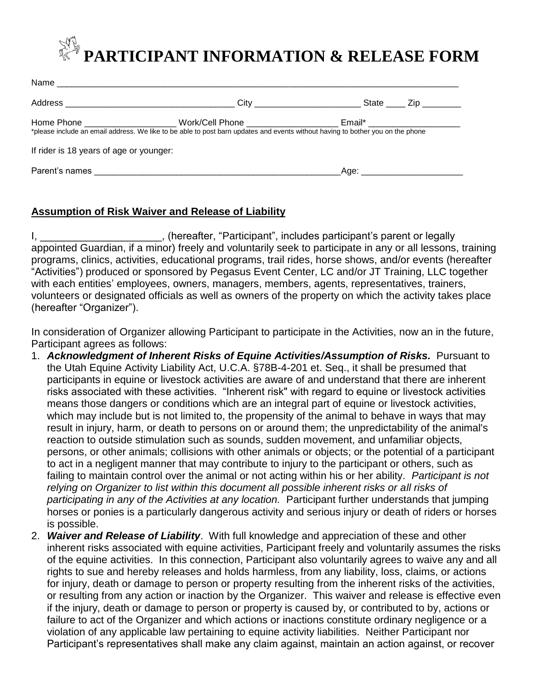## **PARTICIPANT INFORMATION & RELEASE FORM**

|                                         | Home            Phone ____________________ Work/Cell            Phone _________________<br>*please include an email address. We like to be able to post barn updates and events without having to bother you on the phone | Email* _______________________                                                                                                                                                                                                 |  |
|-----------------------------------------|---------------------------------------------------------------------------------------------------------------------------------------------------------------------------------------------------------------------------|--------------------------------------------------------------------------------------------------------------------------------------------------------------------------------------------------------------------------------|--|
| If rider is 18 years of age or younger: |                                                                                                                                                                                                                           |                                                                                                                                                                                                                                |  |
|                                         |                                                                                                                                                                                                                           | Age: the contract of the contract of the contract of the contract of the contract of the contract of the contract of the contract of the contract of the contract of the contract of the contract of the contract of the contr |  |

## **Assumption of Risk Waiver and Release of Liability**

I, **I** Example 2011 (Internative, "Participant", includes participant's parent or legally appointed Guardian, if a minor) freely and voluntarily seek to participate in any or all lessons, training programs, clinics, activities, educational programs, trail rides, horse shows, and/or events (hereafter "Activities") produced or sponsored by Pegasus Event Center, LC and/or JT Training, LLC together with each entities' employees, owners, managers, members, agents, representatives, trainers, volunteers or designated officials as well as owners of the property on which the activity takes place (hereafter "Organizer").

In consideration of Organizer allowing Participant to participate in the Activities, now an in the future, Participant agrees as follows:

- 1. *Acknowledgment of Inherent Risks of Equine Activities/Assumption of Risks.* Pursuant to the Utah Equine Activity Liability Act, U.C.A. §78B-4-201 et. Seq., it shall be presumed that participants in equine or livestock activities are aware of and understand that there are inherent risks associated with these activities. "Inherent risk" with regard to equine or livestock activities means those dangers or conditions which are an integral part of equine or livestock activities, which may include but is not limited to, the propensity of the animal to behave in ways that may result in injury, harm, or death to persons on or around them; the unpredictability of the animal's reaction to outside stimulation such as sounds, sudden movement, and unfamiliar objects, persons, or other animals; collisions with other animals or objects; or the potential of a participant to act in a negligent manner that may contribute to injury to the participant or others, such as failing to maintain control over the animal or not acting within his or her ability. *Participant is not relying on Organizer to list within this document all possible inherent risks or all risks of participating in any of the Activities at any location.* Participant further understands that jumping horses or ponies is a particularly dangerous activity and serious injury or death of riders or horses is possible.
- 2. *Waiver and Release of Liability*. With full knowledge and appreciation of these and other inherent risks associated with equine activities, Participant freely and voluntarily assumes the risks of the equine activities. In this connection, Participant also voluntarily agrees to waive any and all rights to sue and hereby releases and holds harmless, from any liability, loss, claims, or actions for injury, death or damage to person or property resulting from the inherent risks of the activities, or resulting from any action or inaction by the Organizer. This waiver and release is effective even if the injury, death or damage to person or property is caused by, or contributed to by, actions or failure to act of the Organizer and which actions or inactions constitute ordinary negligence or a violation of any applicable law pertaining to equine activity liabilities. Neither Participant nor Participant's representatives shall make any claim against, maintain an action against, or recover